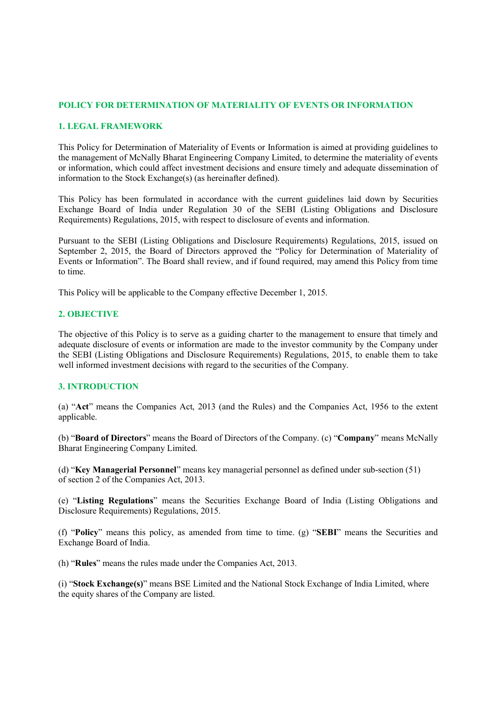# POLICY FOR DETERMINATION OF MATERIALITY OF EVENTS OR INFORMATION

### 1. LEGAL FRAMEWORK

This Policy for Determination of Materiality of Events or Information is aimed at providing guidelines to the management of McNally Bharat Engineering Company Limited, to determine the materiality of events or information, which could affect investment decisions and ensure timely and adequate dissemination of information to the Stock Exchange(s) (as hereinafter defined).

This Policy has been formulated in accordance with the current guidelines laid down by Securities Exchange Board of India under Regulation 30 of the SEBI (Listing Obligations and Disclosure Requirements) Regulations, 2015, with respect to disclosure of events and information.

Pursuant to the SEBI (Listing Obligations and Disclosure Requirements) Regulations, 2015, issued on September 2, 2015, the Board of Directors approved the "Policy for Determination of Materiality of Events or Information". The Board shall review, and if found required, may amend this Policy from time to time.

This Policy will be applicable to the Company effective December 1, 2015.

## 2. OBJECTIVE

The objective of this Policy is to serve as a guiding charter to the management to ensure that timely and adequate disclosure of events or information are made to the investor community by the Company under the SEBI (Listing Obligations and Disclosure Requirements) Regulations, 2015, to enable them to take well informed investment decisions with regard to the securities of the Company.

## 3. INTRODUCTION

(a) "Act" means the Companies Act, 2013 (and the Rules) and the Companies Act, 1956 to the extent applicable.

(b) "Board of Directors" means the Board of Directors of the Company. (c) "Company" means McNally Bharat Engineering Company Limited.

(d) "Key Managerial Personnel" means key managerial personnel as defined under sub-section (51) of section 2 of the Companies Act, 2013.

(e) "Listing Regulations" means the Securities Exchange Board of India (Listing Obligations and Disclosure Requirements) Regulations, 2015.

(f) "Policy" means this policy, as amended from time to time. (g) "SEBI" means the Securities and Exchange Board of India.

(h) "Rules" means the rules made under the Companies Act, 2013.

(i) "Stock Exchange(s)" means BSE Limited and the National Stock Exchange of India Limited, where the equity shares of the Company are listed.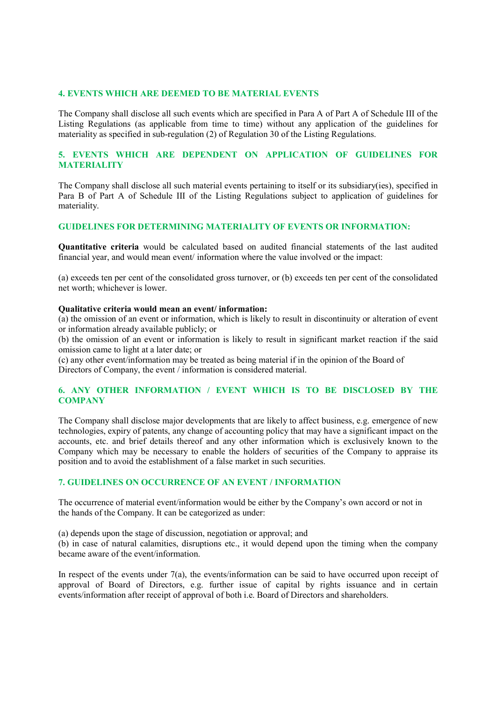#### 4. EVENTS WHICH ARE DEEMED TO BE MATERIAL EVENTS

The Company shall disclose all such events which are specified in Para A of Part A of Schedule III of the Listing Regulations (as applicable from time to time) without any application of the guidelines for materiality as specified in sub-regulation (2) of Regulation 30 of the Listing Regulations.

## 5. EVENTS WHICH ARE DEPENDENT ON APPLICATION OF GUIDELINES FOR **MATERIALITY**

The Company shall disclose all such material events pertaining to itself or its subsidiary(ies), specified in Para B of Part A of Schedule III of the Listing Regulations subject to application of guidelines for materiality.

### GUIDELINES FOR DETERMINING MATERIALITY OF EVENTS OR INFORMATION:

Quantitative criteria would be calculated based on audited financial statements of the last audited financial year, and would mean event/ information where the value involved or the impact:

(a) exceeds ten per cent of the consolidated gross turnover, or (b) exceeds ten per cent of the consolidated net worth; whichever is lower.

#### Qualitative criteria would mean an event/ information:

(a) the omission of an event or information, which is likely to result in discontinuity or alteration of event or information already available publicly; or

(b) the omission of an event or information is likely to result in significant market reaction if the said omission came to light at a later date; or

(c) any other event/information may be treated as being material if in the opinion of the Board of Directors of Company, the event / information is considered material.

## 6. ANY OTHER INFORMATION / EVENT WHICH IS TO BE DISCLOSED BY THE **COMPANY**

The Company shall disclose major developments that are likely to affect business, e.g. emergence of new technologies, expiry of patents, any change of accounting policy that may have a significant impact on the accounts, etc. and brief details thereof and any other information which is exclusively known to the Company which may be necessary to enable the holders of securities of the Company to appraise its position and to avoid the establishment of a false market in such securities.

#### 7. GUIDELINES ON OCCURRENCE OF AN EVENT / INFORMATION

The occurrence of material event/information would be either by the Company's own accord or not in the hands of the Company. It can be categorized as under:

(a) depends upon the stage of discussion, negotiation or approval; and

(b) in case of natural calamities, disruptions etc., it would depend upon the timing when the company became aware of the event/information.

In respect of the events under 7(a), the events/information can be said to have occurred upon receipt of approval of Board of Directors, e.g. further issue of capital by rights issuance and in certain events/information after receipt of approval of both i.e. Board of Directors and shareholders.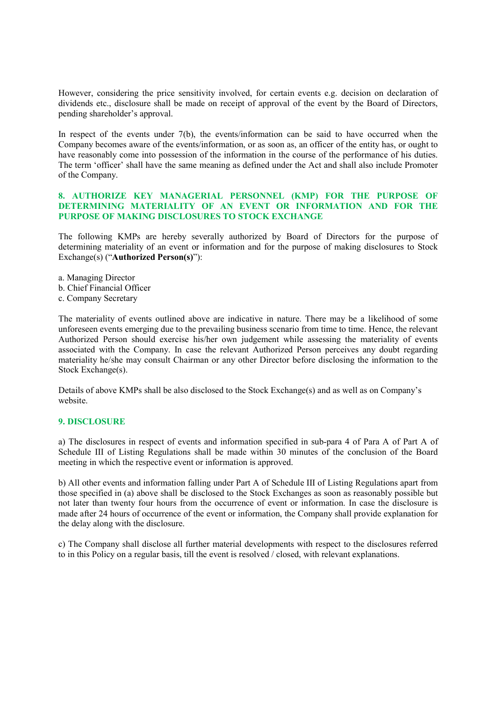However, considering the price sensitivity involved, for certain events e.g. decision on declaration of dividends etc., disclosure shall be made on receipt of approval of the event by the Board of Directors, pending shareholder's approval.

In respect of the events under 7(b), the events/information can be said to have occurred when the Company becomes aware of the events/information, or as soon as, an officer of the entity has, or ought to have reasonably come into possession of the information in the course of the performance of his duties. The term 'officer' shall have the same meaning as defined under the Act and shall also include Promoter of the Company.

## 8. AUTHORIZE KEY MANAGERIAL PERSONNEL (KMP) FOR THE PURPOSE OF DETERMINING MATERIALITY OF AN EVENT OR INFORMATION AND FOR THE PURPOSE OF MAKING DISCLOSURES TO STOCK EXCHANGE

The following KMPs are hereby severally authorized by Board of Directors for the purpose of determining materiality of an event or information and for the purpose of making disclosures to Stock Exchange(s) ("Authorized Person(s)"):

- a. Managing Director
- b. Chief Financial Officer
- c. Company Secretary

The materiality of events outlined above are indicative in nature. There may be a likelihood of some unforeseen events emerging due to the prevailing business scenario from time to time. Hence, the relevant Authorized Person should exercise his/her own judgement while assessing the materiality of events associated with the Company. In case the relevant Authorized Person perceives any doubt regarding materiality he/she may consult Chairman or any other Director before disclosing the information to the Stock Exchange(s).

Details of above KMPs shall be also disclosed to the Stock Exchange(s) and as well as on Company's website.

# 9. DISCLOSURE

a) The disclosures in respect of events and information specified in sub-para 4 of Para A of Part A of Schedule III of Listing Regulations shall be made within 30 minutes of the conclusion of the Board meeting in which the respective event or information is approved.

b) All other events and information falling under Part A of Schedule III of Listing Regulations apart from those specified in (a) above shall be disclosed to the Stock Exchanges as soon as reasonably possible but not later than twenty four hours from the occurrence of event or information. In case the disclosure is made after 24 hours of occurrence of the event or information, the Company shall provide explanation for the delay along with the disclosure.

c) The Company shall disclose all further material developments with respect to the disclosures referred to in this Policy on a regular basis, till the event is resolved / closed, with relevant explanations.